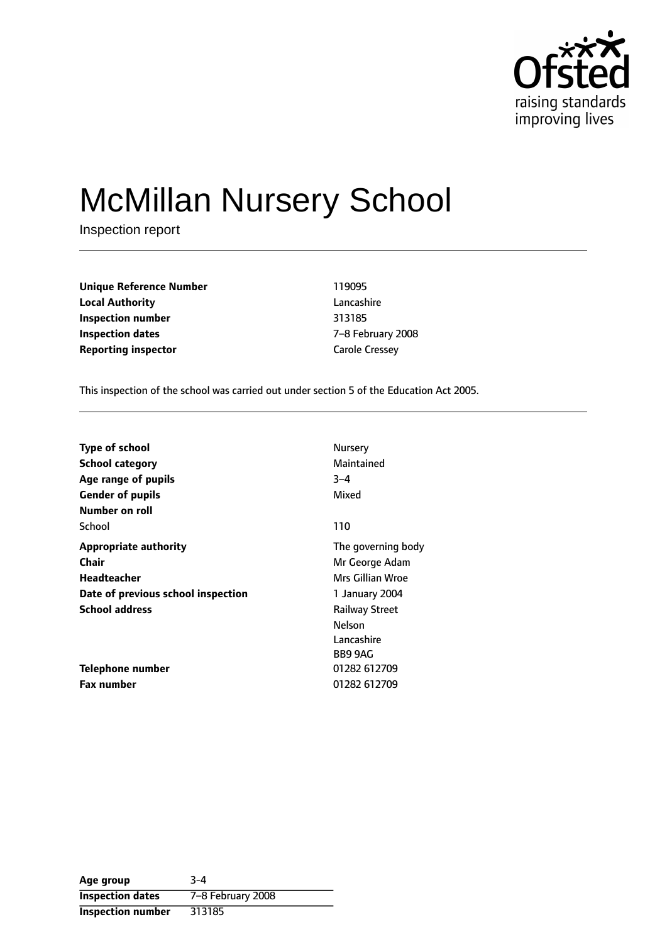

# McMillan Nursery School

Inspection report

**Unique Reference Number** 119095 **Local Authority** Lancashire **Inspection number** 313185 **Inspection dates** The Technical Control of  $Z-8$  February 2008 **Reporting inspector** Carole Cressey

This inspection of the school was carried out under section 5 of the Education Act 2005.

| Type of school                     | Nursery               |
|------------------------------------|-----------------------|
| <b>School category</b>             | Maintained            |
| Age range of pupils                | $3 - 4$               |
| <b>Gender of pupils</b>            | Mixed                 |
| Number on roll                     |                       |
| School                             | 110                   |
| <b>Appropriate authority</b>       | The governing body    |
| <b>Chair</b>                       | Mr George Adam        |
| Headteacher                        | Mrs Gillian Wroe      |
| Date of previous school inspection | 1 January 2004        |
| <b>School address</b>              | <b>Railway Street</b> |
|                                    | Nelson                |
|                                    | Lancashire            |
|                                    | BB9 9AG               |
| Telephone number                   | 01282 612709          |
| <b>Fax number</b>                  | 01282 612709          |

| Age group                | $3 - 4$           |
|--------------------------|-------------------|
| <b>Inspection dates</b>  | 7-8 February 2008 |
| <b>Inspection number</b> | 313185            |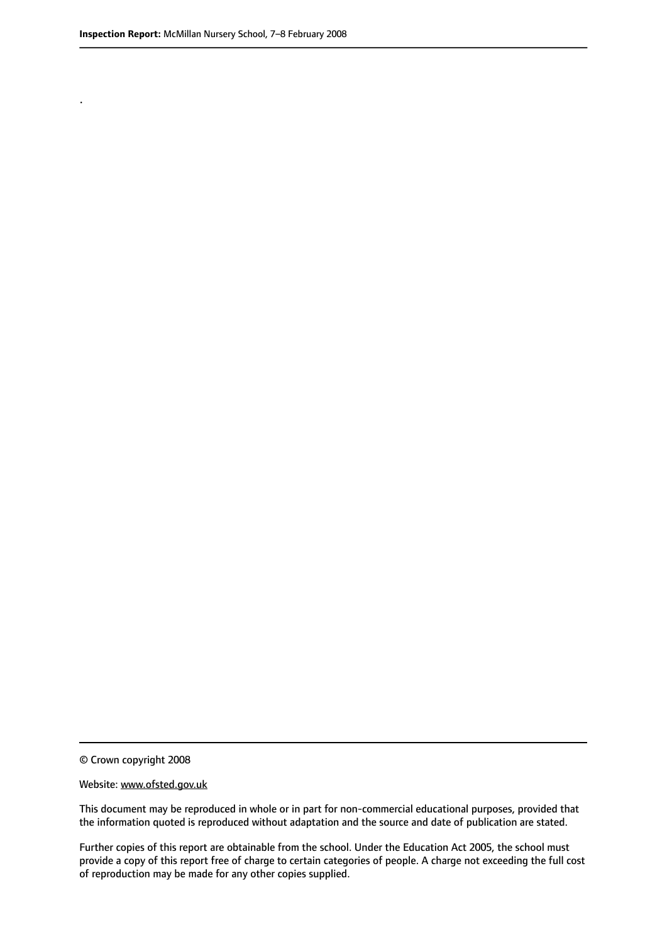.

© Crown copyright 2008

#### Website: www.ofsted.gov.uk

This document may be reproduced in whole or in part for non-commercial educational purposes, provided that the information quoted is reproduced without adaptation and the source and date of publication are stated.

Further copies of this report are obtainable from the school. Under the Education Act 2005, the school must provide a copy of this report free of charge to certain categories of people. A charge not exceeding the full cost of reproduction may be made for any other copies supplied.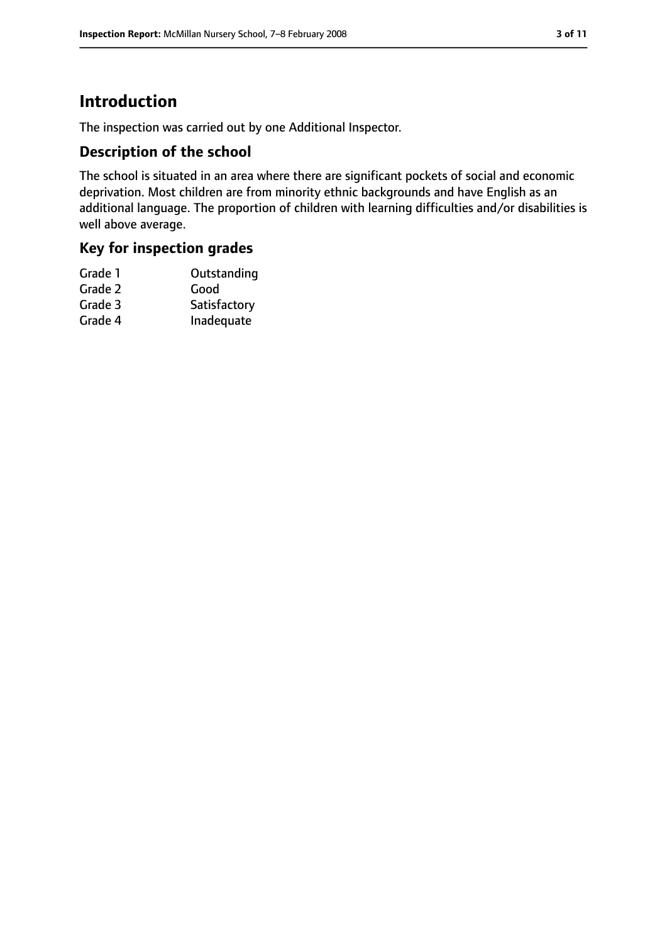### **Introduction**

The inspection was carried out by one Additional Inspector.

### **Description of the school**

The school is situated in an area where there are significant pockets of social and economic deprivation. Most children are from minority ethnic backgrounds and have English as an additional language. The proportion of children with learning difficulties and/or disabilities is well above average.

### **Key for inspection grades**

| Grade 1 | Outstanding  |
|---------|--------------|
| Grade 2 | Good         |
| Grade 3 | Satisfactory |
| Grade 4 | Inadequate   |
|         |              |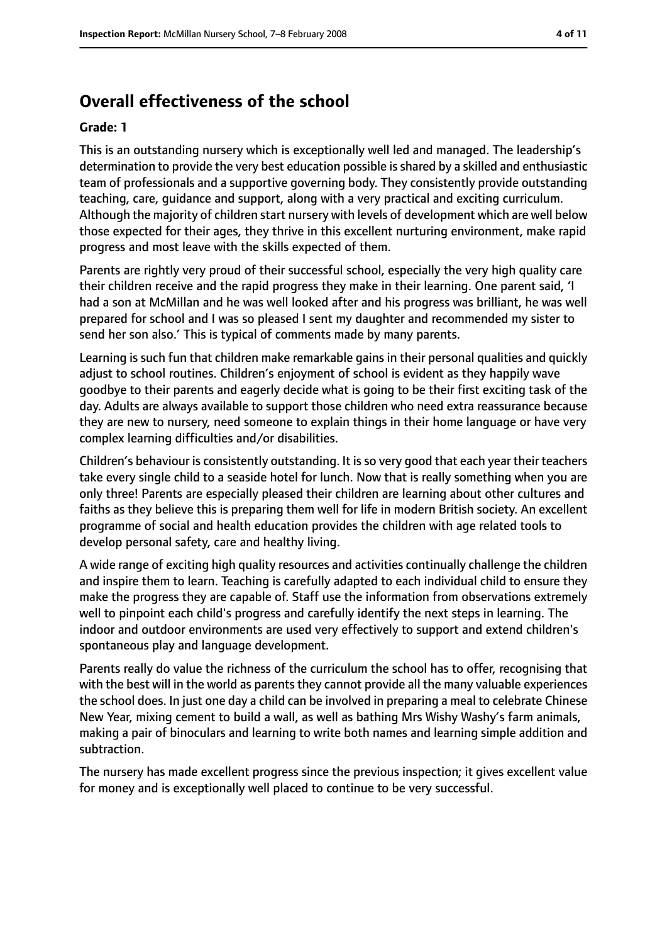### **Overall effectiveness of the school**

#### **Grade: 1**

This is an outstanding nursery which is exceptionally well led and managed. The leadership's determination to provide the very best education possible is shared by a skilled and enthusiastic team of professionals and a supportive governing body. They consistently provide outstanding teaching, care, guidance and support, along with a very practical and exciting curriculum. Although the majority of children start nursery with levels of development which are well below those expected for their ages, they thrive in this excellent nurturing environment, make rapid progress and most leave with the skills expected of them.

Parents are rightly very proud of their successful school, especially the very high quality care their children receive and the rapid progress they make in their learning. One parent said, 'I had a son at McMillan and he was well looked after and his progress was brilliant, he was well prepared for school and I was so pleased I sent my daughter and recommended my sister to send her son also.' This is typical of comments made by many parents.

Learning is such fun that children make remarkable gains in their personal qualities and quickly adjust to school routines. Children's enjoyment of school is evident as they happily wave goodbye to their parents and eagerly decide what is going to be their first exciting task of the day. Adults are always available to support those children who need extra reassurance because they are new to nursery, need someone to explain things in their home language or have very complex learning difficulties and/or disabilities.

Children's behaviour is consistently outstanding. It isso very good that each year their teachers take every single child to a seaside hotel for lunch. Now that is really something when you are only three! Parents are especially pleased their children are learning about other cultures and faiths as they believe this is preparing them well for life in modern British society. An excellent programme of social and health education provides the children with age related tools to develop personal safety, care and healthy living.

A wide range of exciting high quality resources and activities continually challenge the children and inspire them to learn. Teaching is carefully adapted to each individual child to ensure they make the progress they are capable of. Staff use the information from observations extremely well to pinpoint each child's progress and carefully identify the next steps in learning. The indoor and outdoor environments are used very effectively to support and extend children's spontaneous play and language development.

Parents really do value the richness of the curriculum the school has to offer, recognising that with the best will in the world as parents they cannot provide all the many valuable experiences the school does. In just one day a child can be involved in preparing a meal to celebrate Chinese New Year, mixing cement to build a wall, as well as bathing Mrs Wishy Washy's farm animals, making a pair of binoculars and learning to write both names and learning simple addition and subtraction.

The nursery has made excellent progress since the previous inspection; it gives excellent value for money and is exceptionally well placed to continue to be very successful.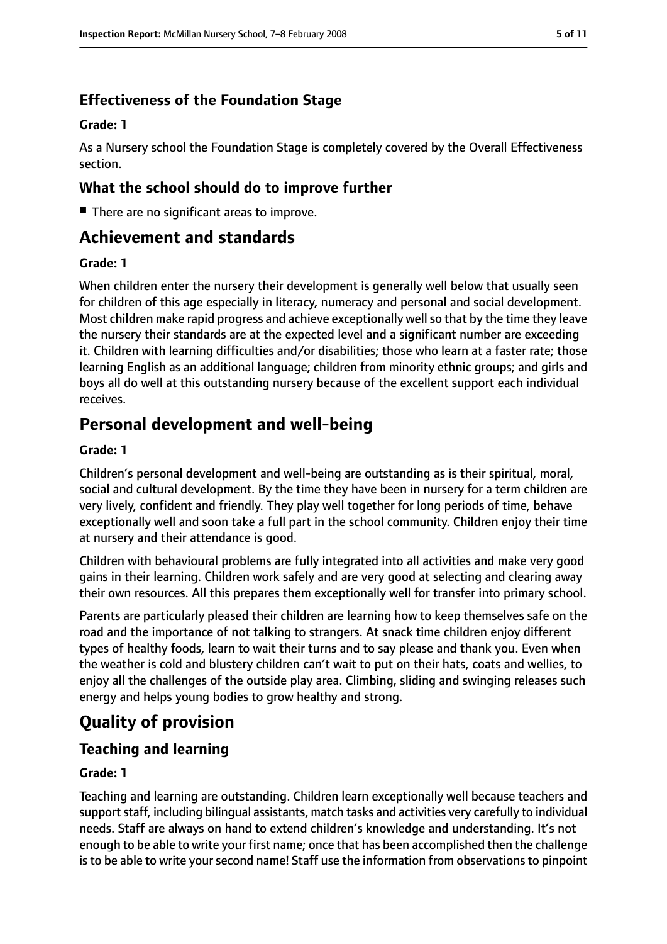### **Effectiveness of the Foundation Stage**

#### **Grade: 1**

As a Nursery school the Foundation Stage is completely covered by the Overall Effectiveness section.

### **What the school should do to improve further**

■ There are no significant areas to improve.

### **Achievement and standards**

#### **Grade: 1**

When children enter the nursery their development is generally well below that usually seen for children of this age especially in literacy, numeracy and personal and social development. Most children make rapid progress and achieve exceptionally well so that by the time they leave the nursery their standards are at the expected level and a significant number are exceeding it. Children with learning difficulties and/or disabilities; those who learn at a faster rate; those learning English as an additional language; children from minority ethnic groups; and girls and boys all do well at this outstanding nursery because of the excellent support each individual receives.

### **Personal development and well-being**

#### **Grade: 1**

Children's personal development and well-being are outstanding as is their spiritual, moral, social and cultural development. By the time they have been in nursery for a term children are very lively, confident and friendly. They play well together for long periods of time, behave exceptionally well and soon take a full part in the school community. Children enjoy their time at nursery and their attendance is good.

Children with behavioural problems are fully integrated into all activities and make very good gains in their learning. Children work safely and are very good at selecting and clearing away their own resources. All this prepares them exceptionally well for transfer into primary school.

Parents are particularly pleased their children are learning how to keep themselves safe on the road and the importance of not talking to strangers. At snack time children enjoy different types of healthy foods, learn to wait their turns and to say please and thank you. Even when the weather is cold and blustery children can't wait to put on their hats, coats and wellies, to enjoy all the challenges of the outside play area. Climbing, sliding and swinging releases such energy and helps young bodies to grow healthy and strong.

### **Quality of provision**

### **Teaching and learning**

#### **Grade: 1**

Teaching and learning are outstanding. Children learn exceptionally well because teachers and support staff, including bilingual assistants, match tasks and activities very carefully to individual needs. Staff are always on hand to extend children's knowledge and understanding. It's not enough to be able to write your first name; once that has been accomplished then the challenge is to be able to write your second name! Staff use the information from observations to pinpoint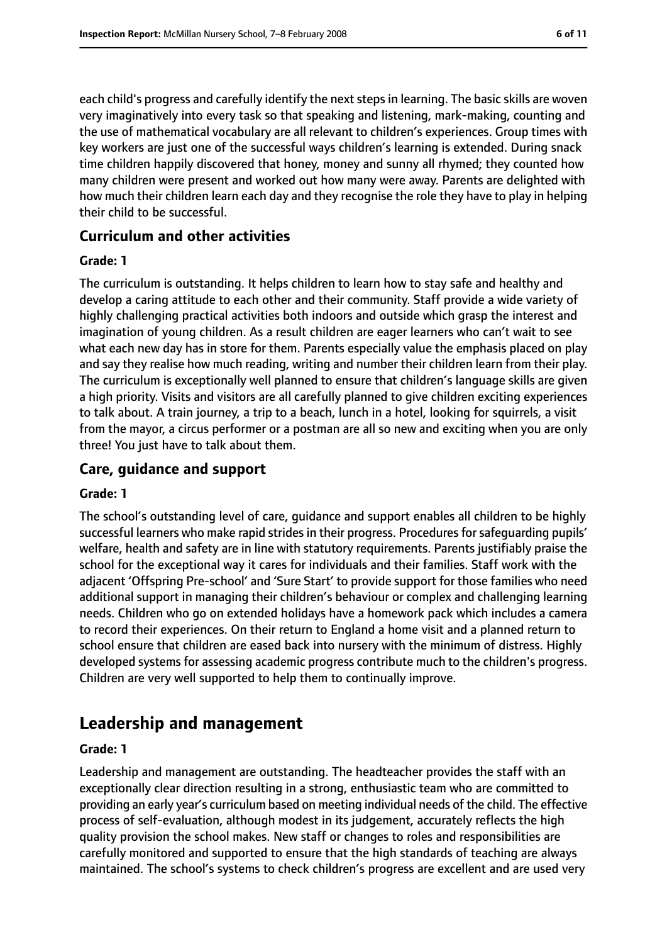each child's progress and carefully identify the next steps in learning. The basic skills are woven very imaginatively into every task so that speaking and listening, mark-making, counting and the use of mathematical vocabulary are all relevant to children's experiences. Group times with key workers are just one of the successful ways children's learning is extended. During snack time children happily discovered that honey, money and sunny all rhymed; they counted how many children were present and worked out how many were away. Parents are delighted with how much their children learn each day and they recognise the role they have to play in helping their child to be successful.

#### **Curriculum and other activities**

#### **Grade: 1**

The curriculum is outstanding. It helps children to learn how to stay safe and healthy and develop a caring attitude to each other and their community. Staff provide a wide variety of highly challenging practical activities both indoors and outside which grasp the interest and imagination of young children. As a result children are eager learners who can't wait to see what each new day has in store for them. Parents especially value the emphasis placed on play and say they realise how much reading, writing and number their children learn from their play. The curriculum is exceptionally well planned to ensure that children's language skills are given a high priority. Visits and visitors are all carefully planned to give children exciting experiences to talk about. A train journey, a trip to a beach, lunch in a hotel, looking for squirrels, a visit from the mayor, a circus performer or a postman are all so new and exciting when you are only three! You just have to talk about them.

#### **Care, guidance and support**

#### **Grade: 1**

The school's outstanding level of care, guidance and support enables all children to be highly successful learners who make rapid strides in their progress. Procedures for safeguarding pupils' welfare, health and safety are in line with statutory requirements. Parents justifiably praise the school for the exceptional way it cares for individuals and their families. Staff work with the adjacent 'Offspring Pre-school' and 'Sure Start' to provide support for those families who need additional support in managing their children's behaviour or complex and challenging learning needs. Children who go on extended holidays have a homework pack which includes a camera to record their experiences. On their return to England a home visit and a planned return to school ensure that children are eased back into nursery with the minimum of distress. Highly developed systems for assessing academic progress contribute much to the children's progress. Children are very well supported to help them to continually improve.

### **Leadership and management**

#### **Grade: 1**

Leadership and management are outstanding. The headteacher provides the staff with an exceptionally clear direction resulting in a strong, enthusiastic team who are committed to providing an early year's curriculum based on meeting individual needs of the child. The effective process of self-evaluation, although modest in its judgement, accurately reflects the high quality provision the school makes. New staff or changes to roles and responsibilities are carefully monitored and supported to ensure that the high standards of teaching are always maintained. The school's systems to check children's progress are excellent and are used very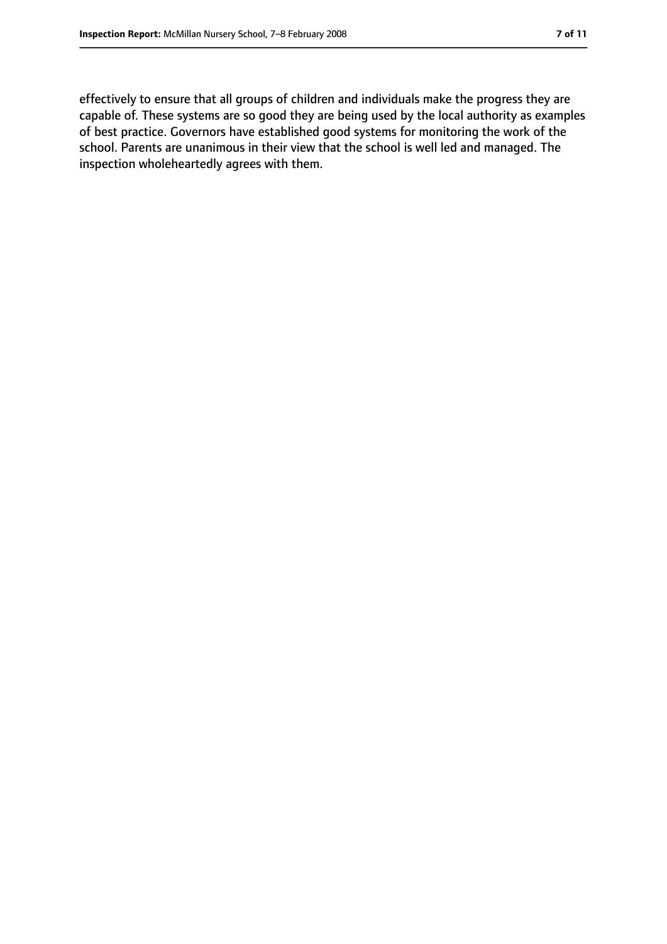effectively to ensure that all groups of children and individuals make the progress they are capable of. These systems are so good they are being used by the local authority as examples of best practice. Governors have established good systems for monitoring the work of the school. Parents are unanimous in their view that the school is well led and managed. The inspection wholeheartedly agrees with them.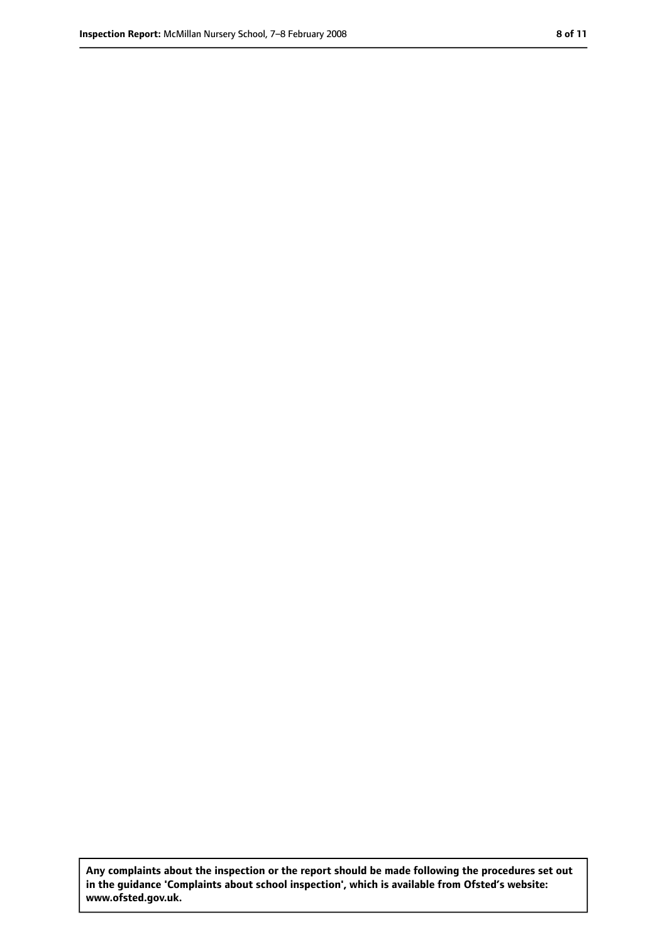**Any complaints about the inspection or the report should be made following the procedures set out in the guidance 'Complaints about school inspection', which is available from Ofsted's website: www.ofsted.gov.uk.**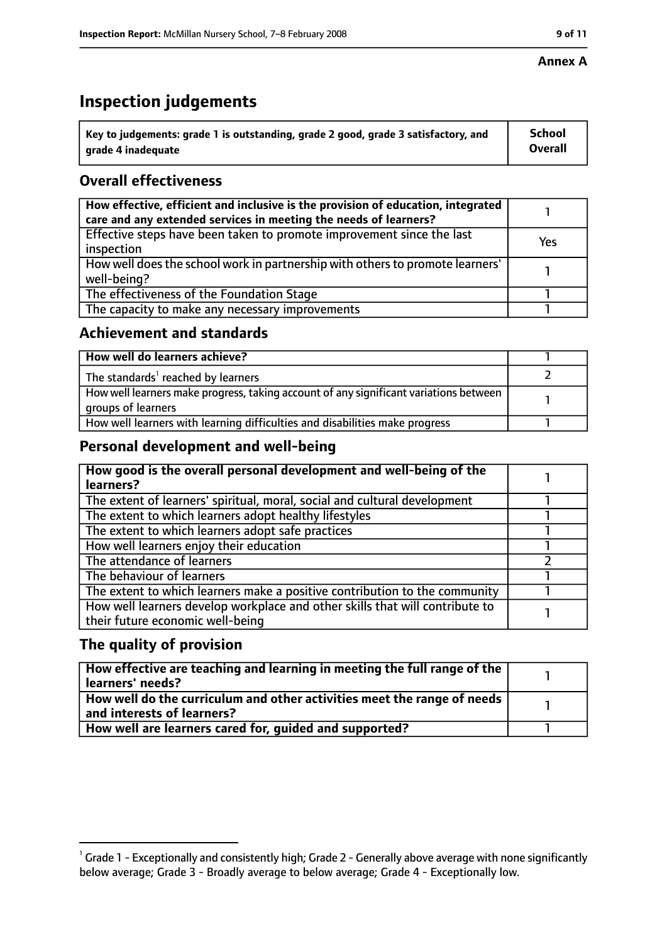#### **Annex A**

### **Inspection judgements**

| $^{\backprime}$ Key to judgements: grade 1 is outstanding, grade 2 good, grade 3 satisfactory, and | <b>School</b>  |
|----------------------------------------------------------------------------------------------------|----------------|
| arade 4 inadequate                                                                                 | <b>Overall</b> |

### **Overall effectiveness**

| How effective, efficient and inclusive is the provision of education, integrated<br>care and any extended services in meeting the needs of learners? |     |
|------------------------------------------------------------------------------------------------------------------------------------------------------|-----|
| Effective steps have been taken to promote improvement since the last<br>inspection                                                                  | Yes |
| How well does the school work in partnership with others to promote learners'<br>well-being?                                                         |     |
| The effectiveness of the Foundation Stage                                                                                                            |     |
| The capacity to make any necessary improvements                                                                                                      |     |

### **Achievement and standards**

| How well do learners achieve?                                                                               |  |
|-------------------------------------------------------------------------------------------------------------|--|
| The standards <sup>1</sup> reached by learners                                                              |  |
| How well learners make progress, taking account of any significant variations between<br>groups of learners |  |
| How well learners with learning difficulties and disabilities make progress                                 |  |

### **Personal development and well-being**

| How good is the overall personal development and well-being of the<br>learners?                                  |  |
|------------------------------------------------------------------------------------------------------------------|--|
| The extent of learners' spiritual, moral, social and cultural development                                        |  |
| The extent to which learners adopt healthy lifestyles                                                            |  |
| The extent to which learners adopt safe practices                                                                |  |
| How well learners enjoy their education                                                                          |  |
| The attendance of learners                                                                                       |  |
| The behaviour of learners                                                                                        |  |
| The extent to which learners make a positive contribution to the community                                       |  |
| How well learners develop workplace and other skills that will contribute to<br>their future economic well-being |  |

### **The quality of provision**

| How effective are teaching and learning in meeting the full range of the<br>learners' needs?          |  |
|-------------------------------------------------------------------------------------------------------|--|
| How well do the curriculum and other activities meet the range of needs<br>and interests of learners? |  |
| How well are learners cared for, quided and supported?                                                |  |

 $^1$  Grade 1 - Exceptionally and consistently high; Grade 2 - Generally above average with none significantly below average; Grade 3 - Broadly average to below average; Grade 4 - Exceptionally low.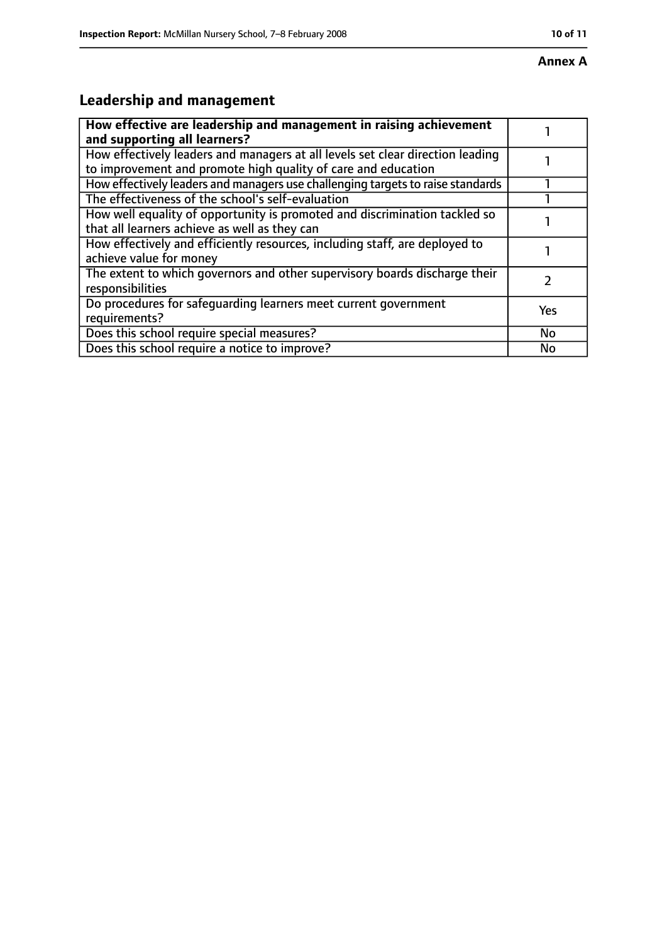#### **Annex A**

## **Leadership and management**

| How effective are leadership and management in raising achievement<br>and supporting all learners?                                              |           |
|-------------------------------------------------------------------------------------------------------------------------------------------------|-----------|
| How effectively leaders and managers at all levels set clear direction leading<br>to improvement and promote high quality of care and education |           |
| How effectively leaders and managers use challenging targets to raise standards                                                                 |           |
| The effectiveness of the school's self-evaluation                                                                                               |           |
| How well equality of opportunity is promoted and discrimination tackled so<br>that all learners achieve as well as they can                     |           |
| How effectively and efficiently resources, including staff, are deployed to<br>achieve value for money                                          |           |
| The extent to which governors and other supervisory boards discharge their<br>responsibilities                                                  |           |
| Do procedures for safequarding learners meet current government<br>requirements?                                                                | Yes       |
| Does this school require special measures?                                                                                                      | <b>No</b> |
| Does this school require a notice to improve?                                                                                                   | No        |